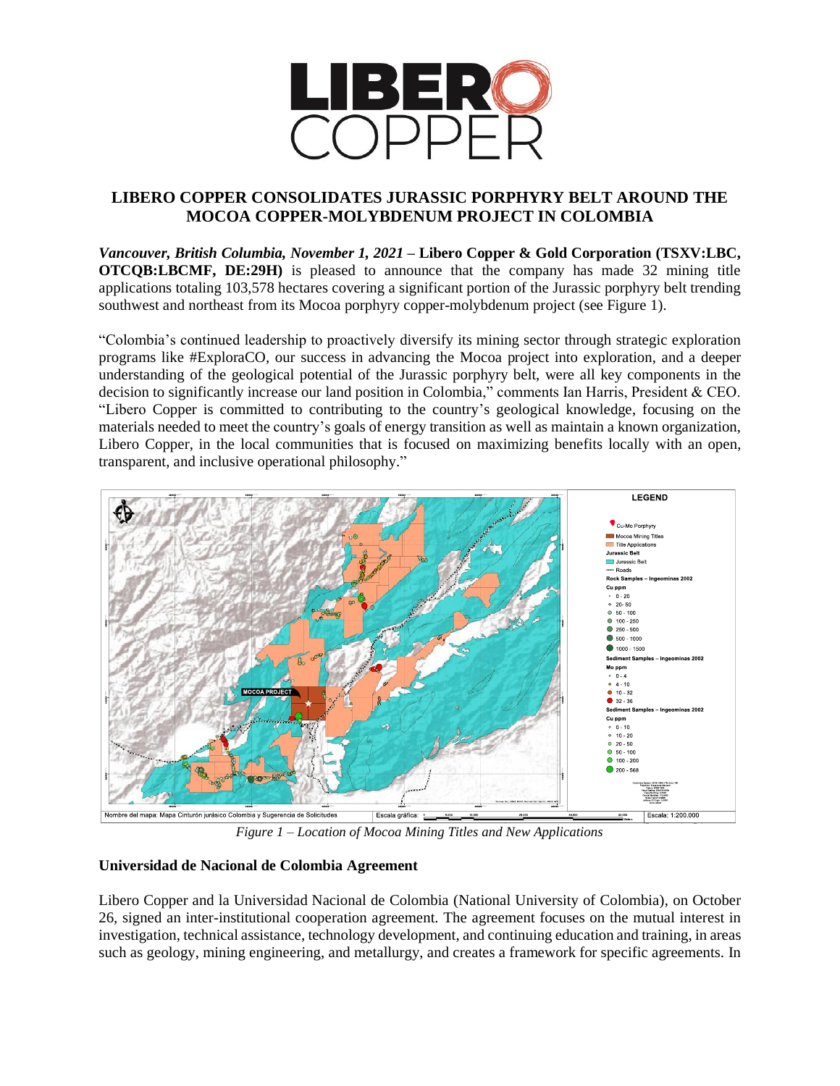

# **LIBERO COPPER CONSOLIDATES JURASSIC PORPHYRY BELT AROUND THE MOCOA COPPER-MOLYBDENUM PROJECT IN COLOMBIA**

*Vancouver, British Columbia, November 1, 2021* **– Libero Copper & Gold Corporation (TSXV:LBC, OTCQB:LBCMF, DE:29H)** is pleased to announce that the company has made 32 mining title applications totaling 103,578 hectares covering a significant portion of the Jurassic porphyry belt trending southwest and northeast from its Mocoa porphyry copper-molybdenum project (see Figure 1).

"Colombia's continued leadership to proactively diversify its mining sector through strategic exploration programs like #ExploraCO, our success in advancing the Mocoa project into exploration, and a deeper understanding of the geological potential of the Jurassic porphyry belt, were all key components in the decision to significantly increase our land position in Colombia," comments Ian Harris, President & CEO. "Libero Copper is committed to contributing to the country's geological knowledge, focusing on the materials needed to meet the country's goals of energy transition as well as maintain a known organization, Libero Copper, in the local communities that is focused on maximizing benefits locally with an open, transparent, and inclusive operational philosophy."



*Figure 1 – Location of Mocoa Mining Titles and New Applications*

# **Universidad de Nacional de Colombia Agreement**

Libero Copper and la Universidad Nacional de Colombia (National University of Colombia), on October 26, signed an inter-institutional cooperation agreement. The agreement focuses on the mutual interest in investigation, technical assistance, technology development, and continuing education and training, in areas such as geology, mining engineering, and metallurgy, and creates a framework for specific agreements. In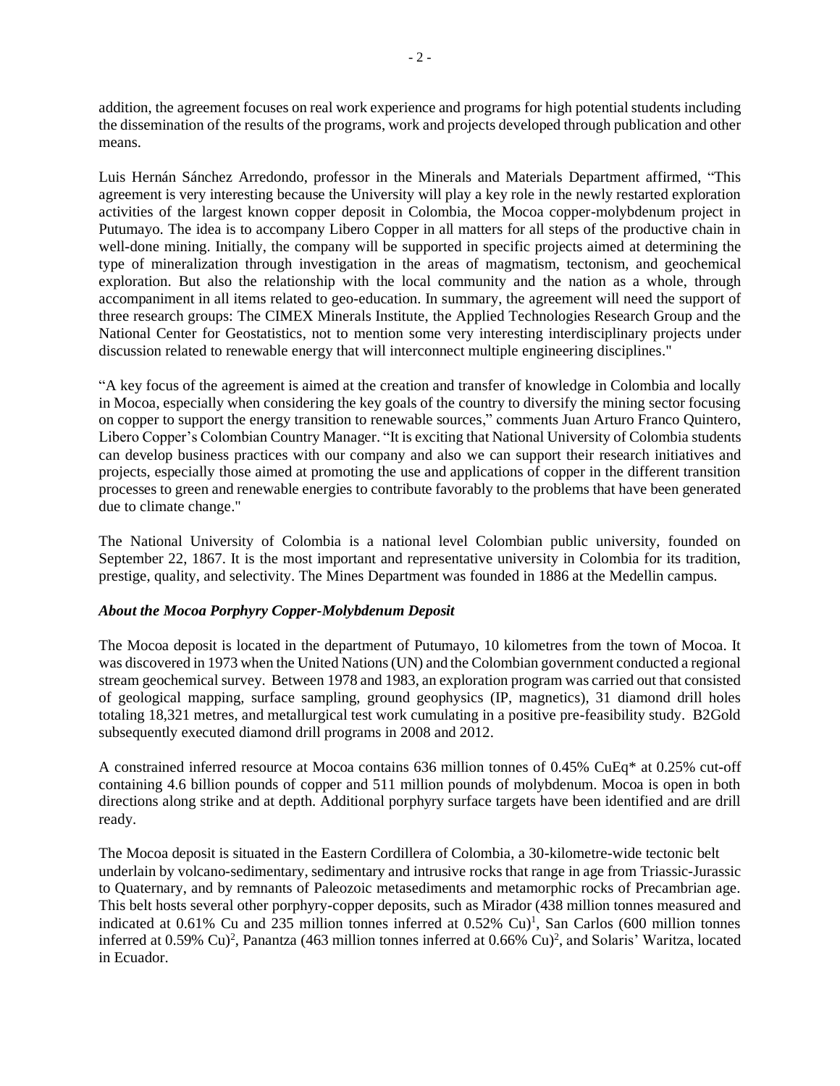addition, the agreement focuses on real work experience and programs for high potential students including the dissemination of the results of the programs, work and projects developed through publication and other means.

Luis Hernán Sánchez Arredondo, professor in the Minerals and Materials Department affirmed, "This agreement is very interesting because the University will play a key role in the newly restarted exploration activities of the largest known copper deposit in Colombia, the Mocoa copper-molybdenum project in Putumayo. The idea is to accompany Libero Copper in all matters for all steps of the productive chain in well-done mining. Initially, the company will be supported in specific projects aimed at determining the type of mineralization through investigation in the areas of magmatism, tectonism, and geochemical exploration. But also the relationship with the local community and the nation as a whole, through accompaniment in all items related to geo-education. In summary, the agreement will need the support of three research groups: The CIMEX Minerals Institute, the Applied Technologies Research Group and the National Center for Geostatistics, not to mention some very interesting interdisciplinary projects under discussion related to renewable energy that will interconnect multiple engineering disciplines."

"A key focus of the agreement is aimed at the creation and transfer of knowledge in Colombia and locally in Mocoa, especially when considering the key goals of the country to diversify the mining sector focusing on copper to support the energy transition to renewable sources," comments Juan Arturo Franco Quintero, Libero Copper's Colombian Country Manager. "It is exciting that National University of Colombia students can develop business practices with our company and also we can support their research initiatives and projects, especially those aimed at promoting the use and applications of copper in the different transition processes to green and renewable energies to contribute favorably to the problems that have been generated due to climate change."

The National University of Colombia is a national level Colombian public university, founded on September 22, 1867. It is the most important and representative university in Colombia for its tradition, prestige, quality, and selectivity. The Mines Department was founded in 1886 at the Medellin campus.

# *About the Mocoa Porphyry Copper-Molybdenum Deposit*

The Mocoa deposit is located in the department of Putumayo, 10 kilometres from the town of Mocoa. It was discovered in 1973 when the United Nations (UN) and the Colombian government conducted a regional stream geochemical survey. Between 1978 and 1983, an exploration program was carried out that consisted of geological mapping, surface sampling, ground geophysics (IP, magnetics), 31 diamond drill holes totaling 18,321 metres, and metallurgical test work cumulating in a positive pre-feasibility study. B2Gold subsequently executed diamond drill programs in 2008 and 2012.

A constrained inferred resource at Mocoa contains 636 million tonnes of 0.45% CuEq\* at 0.25% cut-off containing 4.6 billion pounds of copper and 511 million pounds of molybdenum. Mocoa is open in both directions along strike and at depth. Additional porphyry surface targets have been identified and are drill ready.

The Mocoa deposit is situated in the Eastern Cordillera of Colombia, a 30-kilometre-wide tectonic belt underlain by volcano-sedimentary, sedimentary and intrusive rocks that range in age from Triassic-Jurassic to Quaternary, and by remnants of Paleozoic metasediments and metamorphic rocks of Precambrian age. This belt hosts several other porphyry-copper deposits, such as Mirador (438 million tonnes measured and indicated at 0.61% Cu and 235 million tonnes inferred at 0.52% Cu) 1 , San Carlos (600 million tonnes inferred at 0.59% Cu)<sup>2</sup>, Panantza (463 million tonnes inferred at 0.66% Cu)<sup>2</sup>, and Solaris' Waritza, located in Ecuador.